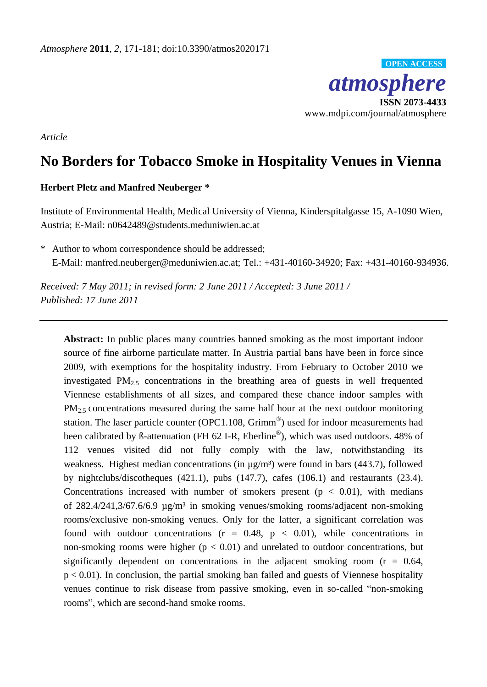

*Article*

# **No Borders for Tobacco Smoke in Hospitality Venues in Vienna**

# **Herbert Pletz and Manfred Neuberger \***

Institute of Environmental Health, Medical University of Vienna, Kinderspitalgasse 15, A-1090 Wien, Austria; E-Mail: n0642489@students.meduniwien.ac.at

\* Author to whom correspondence should be addressed; E-Mail: manfred.neuberger@meduniwien.ac.at; Tel.: +431-40160-34920; Fax: +431-40160-934936.

*Received: 7 May 2011; in revised form: 2 June 2011 / Accepted: 3 June 2011 / Published: 17 June 2011*

**Abstract:** In public places many countries banned smoking as the most important indoor source of fine airborne particulate matter. In Austria partial bans have been in force since 2009, with exemptions for the hospitality industry. From February to October 2010 we investigated PM2.5 concentrations in the breathing area of guests in well frequented Viennese establishments of all sizes, and compared these chance indoor samples with PM<sub>2.5</sub> concentrations measured during the same half hour at the next outdoor monitoring station. The laser particle counter (OPC1.108,  $Grimm^{\circledcirc}$ ) used for indoor measurements had been calibrated by *ß*-attenuation (FH 62 I-R, Eberline<sup>®</sup>), which was used outdoors. 48% of 112 venues visited did not fully comply with the law, notwithstanding its weakness. Highest median concentrations (in  $\mu$ g/m  $\frac{3}{2}$  were found in bars (443.7), followed by nightclubs/discotheques (421.1), pubs (147.7), cafes (106.1) and restaurants (23.4). Concentrations increased with number of smokers present ( $p < 0.01$ ), with medians of 282.4/241,3/67.6/6.9  $\mu$ g/m<sup>3</sup> in smoking venues/smoking rooms/adjacent non-smoking rooms/exclusive non-smoking venues. Only for the latter, a significant correlation was found with outdoor concentrations  $(r = 0.48, p < 0.01)$ , while concentrations in non-smoking rooms were higher  $(p < 0.01)$  and unrelated to outdoor concentrations, but significantly dependent on concentrations in the adjacent smoking room ( $r = 0.64$ ,  $p < 0.01$ ). In conclusion, the partial smoking ban failed and guests of Viennese hospitality venues continue to risk disease from passive smoking, even in so-called "non-smoking rooms", which are second-hand smoke rooms.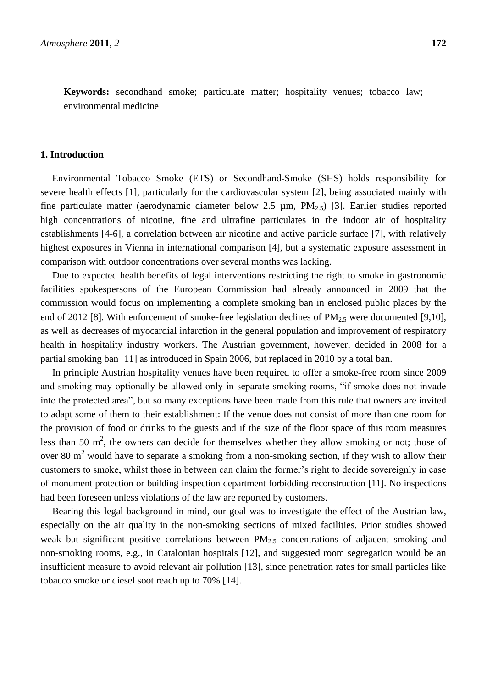**Keywords:** secondhand smoke; particulate matter; hospitality venues; tobacco law; environmental medicine

# **1. Introduction**

Environmental Tobacco Smoke (ETS) or Secondhand-Smoke (SHS) holds responsibility for severe health effects [1], particularly for the cardiovascular system [2], being associated mainly with fine particulate matter (aerodynamic diameter below 2.5  $\mu$ m, PM<sub>2.5</sub>) [3]. Earlier studies reported high concentrations of nicotine, fine and ultrafine particulates in the indoor air of hospitality establishments [4-6], a correlation between air nicotine and active particle surface [7], with relatively highest exposures in Vienna in international comparison [4], but a systematic exposure assessment in comparison with outdoor concentrations over several months was lacking.

Due to expected health benefits of legal interventions restricting the right to smoke in gastronomic facilities spokespersons of the European Commission had already announced in 2009 that the commission would focus on implementing a complete smoking ban in enclosed public places by the end of 2012 [8]. With enforcement of smoke-free legislation declines of  $PM_{2.5}$  were documented [9,10], as well as decreases of myocardial infarction in the general population and improvement of respiratory health in hospitality industry workers. The Austrian government, however, decided in 2008 for a partial smoking ban [11] as introduced in Spain 2006, but replaced in 2010 by a total ban.

In principle Austrian hospitality venues have been required to offer a smoke-free room since 2009 and smoking may optionally be allowed only in separate smoking rooms, "if smoke does not invade into the protected area", but so many exceptions have been made from this rule that owners are invited to adapt some of them to their establishment: If the venue does not consist of more than one room for the provision of food or drinks to the guests and if the size of the floor space of this room measures less than 50  $m^2$ , the owners can decide for themselves whether they allow smoking or not; those of over 80 m<sup>2</sup> would have to separate a smoking from a non-smoking section, if they wish to allow their customers to smoke, whilst those in between can claim the former"s right to decide sovereignly in case of monument protection or building inspection department forbidding reconstruction [11]. No inspections had been foreseen unless violations of the law are reported by customers.

Bearing this legal background in mind, our goal was to investigate the effect of the Austrian law, especially on the air quality in the non-smoking sections of mixed facilities. Prior studies showed weak but significant positive correlations between PM<sub>2.5</sub> concentrations of adjacent smoking and non-smoking rooms, e.g., in Catalonian hospitals [12], and suggested room segregation would be an insufficient measure to avoid relevant air pollution [13], since penetration rates for small particles like tobacco smoke or diesel soot reach up to 70% [14].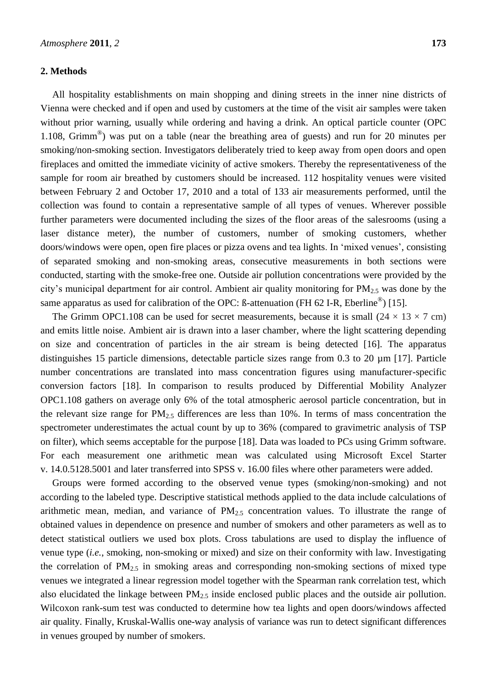# **2. Methods**

All hospitality establishments on main shopping and dining streets in the inner nine districts of Vienna were checked and if open and used by customers at the time of the visit air samples were taken without prior warning, usually while ordering and having a drink. An optical particle counter (OPC 1.108, Grimm® ) was put on a table (near the breathing area of guests) and run for 20 minutes per smoking/non-smoking section. Investigators deliberately tried to keep away from open doors and open fireplaces and omitted the immediate vicinity of active smokers. Thereby the representativeness of the sample for room air breathed by customers should be increased. 112 hospitality venues were visited between February 2 and October 17, 2010 and a total of 133 air measurements performed, until the collection was found to contain a representative sample of all types of venues. Wherever possible further parameters were documented including the sizes of the floor areas of the salesrooms (using a laser distance meter), the number of customers, number of smoking customers, whether doors/windows were open, open fire places or pizza ovens and tea lights. In "mixed venues", consisting of separated smoking and non-smoking areas, consecutive measurements in both sections were conducted, starting with the smoke-free one. Outside air pollution concentrations were provided by the city's municipal department for air control. Ambient air quality monitoring for  $PM_{2.5}$  was done by the same apparatus as used for calibration of the OPC:  $\beta$ -attenuation (FH 62 I-R, Eberline<sup>®</sup>) [15].

The Grimm OPC1.108 can be used for secret measurements, because it is small  $(24 \times 13 \times 7 \text{ cm})$ and emits little noise. Ambient air is drawn into a laser chamber, where the light scattering depending on size and concentration of particles in the air stream is being detected [16]. The apparatus distinguishes 15 particle dimensions, detectable particle sizes range from 0.3 to 20 µm [17]. Particle number concentrations are translated into mass concentration figures using manufacturer-specific conversion factors [18]. In comparison to results produced by Differential Mobility Analyzer OPC1.108 gathers on average only 6% of the total atmospheric aerosol particle concentration, but in the relevant size range for  $PM_{2.5}$  differences are less than 10%. In terms of mass concentration the spectrometer underestimates the actual count by up to 36% (compared to gravimetric analysis of TSP on filter), which seems acceptable for the purpose [18]. Data was loaded to PCs using Grimm software. For each measurement one arithmetic mean was calculated using Microsoft Excel Starter v. 14.0.5128.5001 and later transferred into SPSS v. 16.00 files where other parameters were added.

Groups were formed according to the observed venue types (smoking/non-smoking) and not according to the labeled type. Descriptive statistical methods applied to the data include calculations of arithmetic mean, median, and variance of  $PM_{2.5}$  concentration values. To illustrate the range of obtained values in dependence on presence and number of smokers and other parameters as well as to detect statistical outliers we used box plots. Cross tabulations are used to display the influence of venue type (*i.e.*, smoking, non-smoking or mixed) and size on their conformity with law. Investigating the correlation of  $PM_{2.5}$  in smoking areas and corresponding non-smoking sections of mixed type venues we integrated a linear regression model together with the Spearman rank correlation test, which also elucidated the linkage between  $PM_{2.5}$  inside enclosed public places and the outside air pollution. Wilcoxon rank-sum test was conducted to determine how tea lights and open doors/windows affected air quality. Finally, Kruskal-Wallis one-way analysis of variance was run to detect significant differences in venues grouped by number of smokers.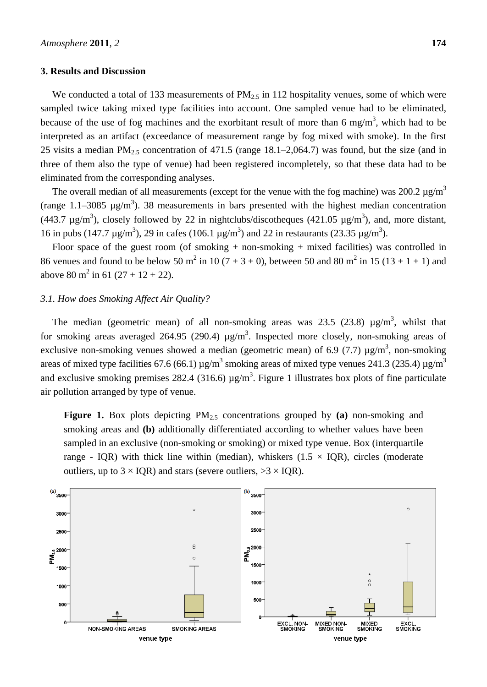### **3. Results and Discussion**

We conducted a total of 133 measurements of  $PM_{2.5}$  in 112 hospitality venues, some of which were sampled twice taking mixed type facilities into account. One sampled venue had to be eliminated, because of the use of fog machines and the exorbitant result of more than 6 mg/m<sup>3</sup>, which had to be interpreted as an artifact (exceedance of measurement range by fog mixed with smoke). In the first 25 visits a median  $PM_{2.5}$  concentration of 471.5 (range 18.1–2,064.7) was found, but the size (and in three of them also the type of venue) had been registered incompletely, so that these data had to be eliminated from the corresponding analyses.

The overall median of all measurements (except for the venue with the fog machine) was 200.2  $\mu$ g/m<sup>3</sup> (range 1.1–3085  $\mu$ g/m<sup>3</sup>). 38 measurements in bars presented with the highest median concentration (443.7  $\mu$ g/m<sup>3</sup>), closely followed by 22 in nightclubs/discotheques (421.05  $\mu$ g/m<sup>3</sup>), and, more distant, 16 in pubs (147.7  $\mu$ g/m<sup>3</sup>), 29 in cafes (106.1  $\mu$ g/m<sup>3</sup>) and 22 in restaurants (23.35  $\mu$ g/m<sup>3</sup>).

Floor space of the guest room (of smoking + non-smoking + mixed facilities) was controlled in 86 venues and found to be below 50 m<sup>2</sup> in 10 (7 + 3 + 0), between 50 and 80 m<sup>2</sup> in 15 (13 + 1 + 1) and above 80 m<sup>2</sup> in 61 (27 + 12 + 22).

# *3.1. How does Smoking Affect Air Quality?*

The median (geometric mean) of all non-smoking areas was 23.5 (23.8)  $\mu$ g/m<sup>3</sup>, whilst that for smoking areas averaged 264.95 (290.4)  $\mu$ g/m<sup>3</sup>. Inspected more closely, non-smoking areas of exclusive non-smoking venues showed a median (geometric mean) of 6.9 (7.7)  $\mu$ g/m<sup>3</sup>, non-smoking areas of mixed type facilities 67.6 (66.1)  $\mu$ g/m<sup>3</sup> smoking areas of mixed type venues 241.3 (235.4)  $\mu$ g/m<sup>3</sup> and exclusive smoking premises 282.4 (316.6)  $\mu$ g/m<sup>3</sup>. Figure 1 illustrates box plots of fine particulate air pollution arranged by type of venue.

**Figure 1.** Box plots depicting PM2.5 concentrations grouped by **(a)** non-smoking and smoking areas and **(b)** additionally differentiated according to whether values have been sampled in an exclusive (non-smoking or smoking) or mixed type venue. Box (interquartile range - IQR) with thick line within (median), whiskers (1.5  $\times$  IQR), circles (moderate outliers, up to  $3 \times IQR$ ) and stars (severe outliers,  $>3 \times IQR$ ).

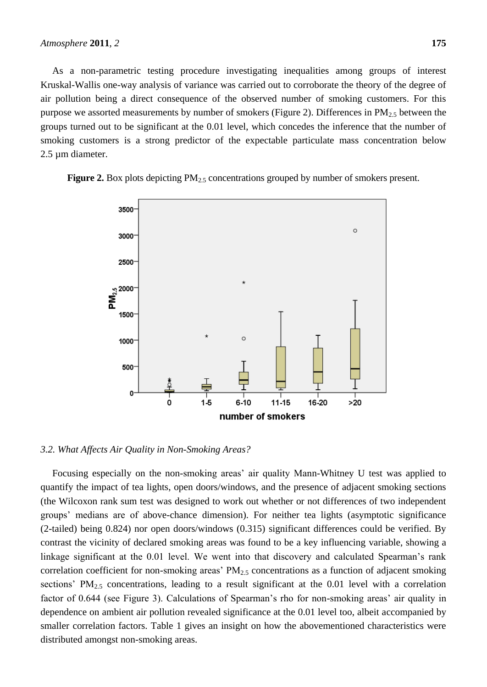As a non-parametric testing procedure investigating inequalities among groups of interest Kruskal-Wallis one-way analysis of variance was carried out to corroborate the theory of the degree of air pollution being a direct consequence of the observed number of smoking customers. For this purpose we assorted measurements by number of smokers (Figure 2). Differences in  $PM_{2.5}$  between the groups turned out to be significant at the 0.01 level, which concedes the inference that the number of smoking customers is a strong predictor of the expectable particulate mass concentration below 2.5 µm diameter.

**Figure 2.** Box plots depicting  $PM_{2.5}$  concentrations grouped by number of smokers present.



*3.2. What Affects Air Quality in Non-Smoking Areas?*

Focusing especially on the non-smoking areas' air quality Mann-Whitney U test was applied to quantify the impact of tea lights, open doors/windows, and the presence of adjacent smoking sections (the Wilcoxon rank sum test was designed to work out whether or not differences of two independent groups" medians are of above-chance dimension). For neither tea lights (asymptotic significance (2-tailed) being 0.824) nor open doors/windows (0.315) significant differences could be verified. By contrast the vicinity of declared smoking areas was found to be a key influencing variable, showing a linkage significant at the 0.01 level. We went into that discovery and calculated Spearman's rank correlation coefficient for non-smoking areas'  $PM_{2.5}$  concentrations as a function of adjacent smoking sections'  $PM_{2.5}$  concentrations, leading to a result significant at the 0.01 level with a correlation factor of 0.644 (see Figure 3). Calculations of Spearman's rho for non-smoking areas' air quality in dependence on ambient air pollution revealed significance at the 0.01 level too, albeit accompanied by smaller correlation factors. Table 1 gives an insight on how the abovementioned characteristics were distributed amongst non-smoking areas.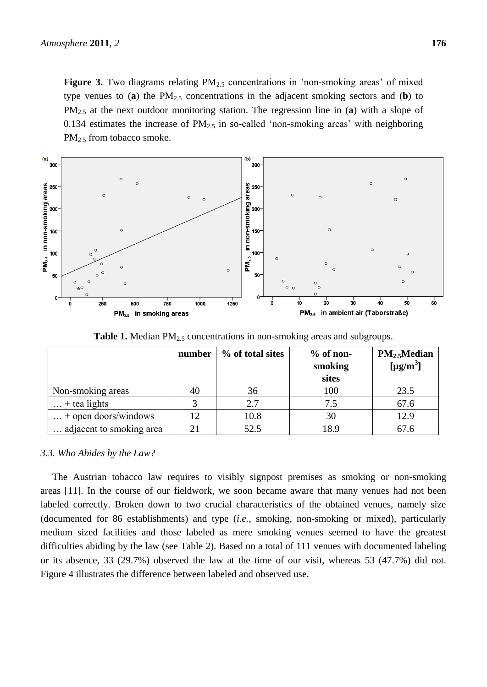**Figure 3.** Two diagrams relating PM<sub>2.5</sub> concentrations in 'non-smoking areas' of mixed type venues to  $(a)$  the PM<sub>2.5</sub> concentrations in the adjacent smoking sectors and  $(b)$  to PM2.5 at the next outdoor monitoring station. The regression line in (**a**) with a slope of 0.134 estimates the increase of  $PM<sub>2.5</sub>$  in so-called 'non-smoking areas' with neighboring PM<sub>2.5</sub> from tobacco smoke.



|                              | number | % of total sites | $%$ of non-<br>smoking<br>sites | PM <sub>2.5</sub> Median<br>$\left[\mu g/m^3\right]$ |
|------------------------------|--------|------------------|---------------------------------|------------------------------------------------------|
| Non-smoking areas            | 40     | 36               | 100                             | 23.5                                                 |
| $\dots$ + tea lights         |        | 2.7              | 7.5                             | 67.6                                                 |
| $\dots$ + open doors/windows | 12     | 10.8             | 30                              | 12.9                                                 |
| adjacent to smoking area     |        | 52.5             | 18.9                            | 67.6                                                 |

**Table 1.** Median PM<sub>2.5</sub> concentrations in non-smoking areas and subgroups.

#### *3.3. Who Abides by the Law?*

The Austrian tobacco law requires to visibly signpost premises as smoking or non-smoking areas [11]. In the course of our fieldwork, we soon became aware that many venues had not been labeled correctly. Broken down to two crucial characteristics of the obtained venues, namely size (documented for 86 establishments) and type (*i.e.*, smoking, non-smoking or mixed), particularly medium sized facilities and those labeled as mere smoking venues seemed to have the greatest difficulties abiding by the law (see Table 2). Based on a total of 111 venues with documented labeling or its absence, 33 (29.7%) observed the law at the time of our visit, whereas 53 (47.7%) did not. Figure 4 illustrates the difference between labeled and observed use.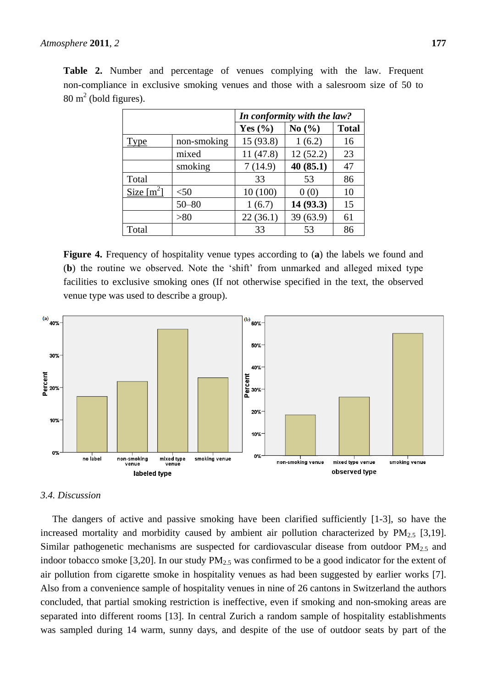|                          |             | In conformity with the law? |            |              |  |
|--------------------------|-------------|-----------------------------|------------|--------------|--|
|                          |             | Yes $(\% )$                 | No $(\% )$ | <b>Total</b> |  |
| <b>Type</b>              | non-smoking | 15(93.8)                    | 1(6.2)     | 16           |  |
|                          | mixed       | 11(47.8)                    | 12(52.2)   | 23           |  |
|                          | smoking     | 7(14.9)                     | 40(85.1)   | 47           |  |
| Total                    |             | 33                          | 53         | 86           |  |
| Size $\lceil m^2 \rceil$ | $50$        | 10(100)                     | 0(0)       | 10           |  |
|                          | $50 - 80$   | 1(6.7)                      | 14 (93.3)  | 15           |  |
|                          | >80         | 22(36.1)                    | 39(63.9)   | 61           |  |
| Total                    |             | 33                          | 53         | 86           |  |

**Table 2.** Number and percentage of venues complying with the law. Frequent non-compliance in exclusive smoking venues and those with a salesroom size of 50 to  $80 \text{ m}^2$  (bold figures).

**Figure 4.** Frequency of hospitality venue types according to (**a**) the labels we found and (**b**) the routine we observed. Note the "shift" from unmarked and alleged mixed type facilities to exclusive smoking ones (If not otherwise specified in the text, the observed venue type was used to describe a group).



# *3.4. Discussion*

The dangers of active and passive smoking have been clarified sufficiently [1-3], so have the increased mortality and morbidity caused by ambient air pollution characterized by  $PM_{2.5}$  [3,19]. Similar pathogenetic mechanisms are suspected for cardiovascular disease from outdoor  $PM_{2.5}$  and indoor tobacco smoke [3,20]. In our study  $PM_{2.5}$  was confirmed to be a good indicator for the extent of air pollution from cigarette smoke in hospitality venues as had been suggested by earlier works [7]. Also from a convenience sample of hospitality venues in nine of 26 cantons in Switzerland the authors concluded, that partial smoking restriction is ineffective, even if smoking and non-smoking areas are separated into different rooms [13]. In central Zurich a random sample of hospitality establishments was sampled during 14 warm, sunny days, and despite of the use of outdoor seats by part of the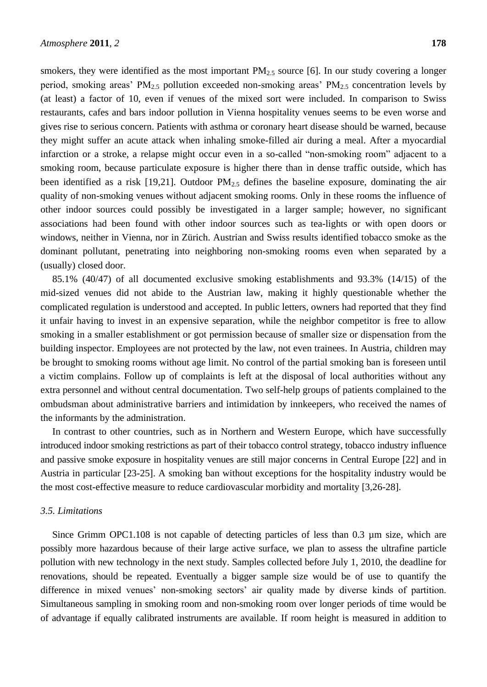smokers, they were identified as the most important  $PM_{2.5}$  source [6]. In our study covering a longer period, smoking areas'  $PM_{2.5}$  pollution exceeded non-smoking areas'  $PM_{2.5}$  concentration levels by (at least) a factor of 10, even if venues of the mixed sort were included. In comparison to Swiss restaurants, cafes and bars indoor pollution in Vienna hospitality venues seems to be even worse and gives rise to serious concern. Patients with asthma or coronary heart disease should be warned, because they might suffer an acute attack when inhaling smoke-filled air during a meal. After a myocardial infarction or a stroke, a relapse might occur even in a so-called "non-smoking room" adjacent to a smoking room, because particulate exposure is higher there than in dense traffic outside, which has been identified as a risk [19,21]. Outdoor  $PM_{2.5}$  defines the baseline exposure, dominating the air quality of non-smoking venues without adjacent smoking rooms. Only in these rooms the influence of other indoor sources could possibly be investigated in a larger sample; however, no significant associations had been found with other indoor sources such as tea-lights or with open doors or windows, neither in Vienna, nor in Zürich. Austrian and Swiss results identified tobacco smoke as the dominant pollutant, penetrating into neighboring non-smoking rooms even when separated by a (usually) closed door.

85.1% (40/47) of all documented exclusive smoking establishments and 93.3% (14/15) of the mid-sized venues did not abide to the Austrian law, making it highly questionable whether the complicated regulation is understood and accepted. In public letters, owners had reported that they find it unfair having to invest in an expensive separation, while the neighbor competitor is free to allow smoking in a smaller establishment or got permission because of smaller size or dispensation from the building inspector. Employees are not protected by the law, not even trainees. In Austria, children may be brought to smoking rooms without age limit. No control of the partial smoking ban is foreseen until a victim complains. Follow up of complaints is left at the disposal of local authorities without any extra personnel and without central documentation. Two self-help groups of patients complained to the ombudsman about administrative barriers and intimidation by innkeepers, who received the names of the informants by the administration.

In contrast to other countries, such as in Northern and Western Europe, which have successfully introduced indoor smoking restrictions as part of their tobacco control strategy, tobacco industry influence and passive smoke exposure in hospitality venues are still major concerns in Central Europe [22] and in Austria in particular [23-25]. A smoking ban without exceptions for the hospitality industry would be the most cost-effective measure to reduce cardiovascular morbidity and mortality [3,26-28].

#### *3.5. Limitations*

Since Grimm OPC1.108 is not capable of detecting particles of less than 0.3  $\mu$ m size, which are possibly more hazardous because of their large active surface, we plan to assess the ultrafine particle pollution with new technology in the next study. Samples collected before July 1, 2010, the deadline for renovations, should be repeated. Eventually a bigger sample size would be of use to quantify the difference in mixed venues' non-smoking sectors' air quality made by diverse kinds of partition. Simultaneous sampling in smoking room and non-smoking room over longer periods of time would be of advantage if equally calibrated instruments are available. If room height is measured in addition to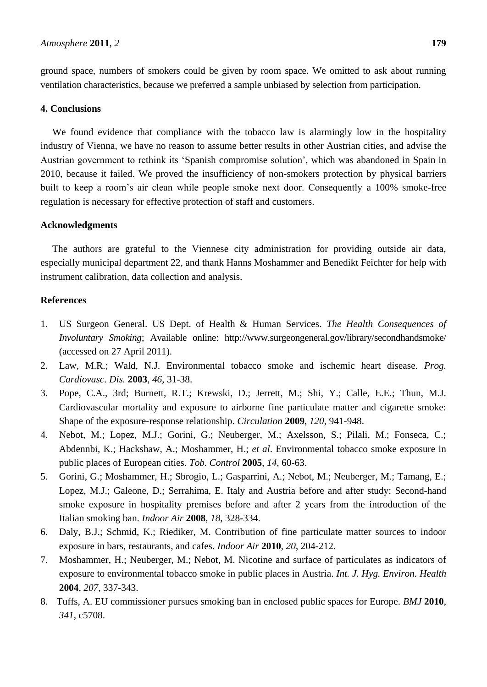# **4. Conclusions**

We found evidence that compliance with the tobacco law is alarmingly low in the hospitality industry of Vienna, we have no reason to assume better results in other Austrian cities, and advise the Austrian government to rethink its "Spanish compromise solution", which was abandoned in Spain in 2010, because it failed. We proved the insufficiency of non-smokers protection by physical barriers built to keep a room"s air clean while people smoke next door. Consequently a 100% smoke-free regulation is necessary for effective protection of staff and customers.

# **Acknowledgments**

The authors are grateful to the Viennese city administration for providing outside air data, especially municipal department 22, and thank Hanns Moshammer and Benedikt Feichter for help with instrument calibration, data collection and analysis.

# **References**

- 1. US Surgeon General. US Dept. of Health & Human Services. *The Health Consequences of Involuntary Smoking*; Available online: http://www.surgeongeneral.gov/library/secondhandsmoke/ (accessed on 27 April 2011).
- 2. Law, M.R.; Wald, N.J. Environmental tobacco smoke and ischemic heart disease. *Prog. Cardiovasc. Dis.* **2003**, *46*, 31-38.
- 3. Pope, C.A., 3rd; Burnett, R.T.; Krewski, D.; Jerrett, M.; Shi, Y.; Calle, E.E.; Thun, M.J. Cardiovascular mortality and exposure to airborne fine particulate matter and cigarette smoke: Shape of the exposure-response relationship. *Circulation* **2009**, *120*, 941-948.
- 4. Nebot, M.; Lopez, M.J.; Gorini, G.; Neuberger, M.; Axelsson, S.; Pilali, M.; Fonseca, C.; Abdennbi, K.; Hackshaw, A.; Moshammer, H.; *et al*. Environmental tobacco smoke exposure in public places of European cities. *Tob. Control* **2005**, *14*, 60-63.
- 5. Gorini, G.; Moshammer, H.; Sbrogio, L.; Gasparrini, A.; Nebot, M.; Neuberger, M.; Tamang, E.; Lopez, M.J.; Galeone, D.; Serrahima, E. Italy and Austria before and after study: Second-hand smoke exposure in hospitality premises before and after 2 years from the introduction of the Italian smoking ban. *Indoor Air* **2008**, *18*, 328-334.
- 6. Daly, B.J.; Schmid, K.; Riediker, M. Contribution of fine particulate matter sources to indoor exposure in bars, restaurants, and cafes. *Indoor Air* **2010**, *20*, 204-212.
- 7. Moshammer, H.; Neuberger, M.; Nebot, M. Nicotine and surface of particulates as indicators of exposure to environmental tobacco smoke in public places in Austria. *Int. J. Hyg. Environ. Health* **2004**, *207*, 337-343.
- 8. Tuffs, A. EU commissioner pursues smoking ban in enclosed public spaces for Europe. *BMJ* **2010**, *341*, c5708.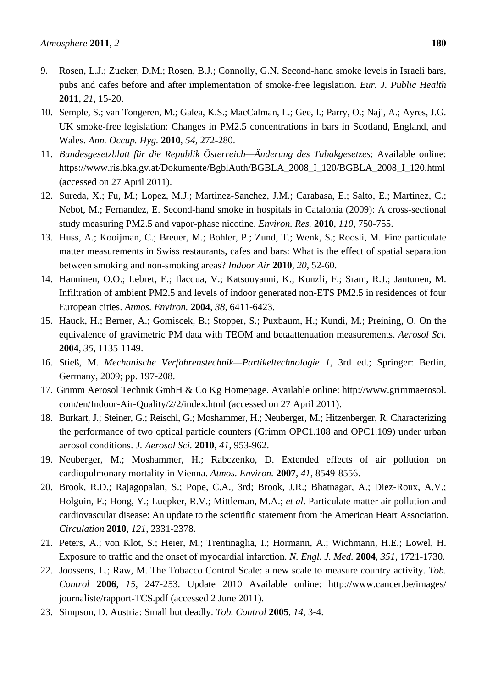- 9. Rosen, L.J.; Zucker, D.M.; Rosen, B.J.; Connolly, G.N. Second-hand smoke levels in Israeli bars, pubs and cafes before and after implementation of smoke-free legislation. *Eur. J. Public Health*  **2011**, *21*, 15-20.
- 10. Semple, S.; van Tongeren, M.; Galea, K.S.; MacCalman, L.; Gee, I.; Parry, O.; Naji, A.; Ayres, J.G. UK smoke-free legislation: Changes in PM2.5 concentrations in bars in Scotland, England, and Wales. *Ann. Occup. Hyg.* **2010**, *54*, 272-280.
- 11. *Bundesgesetzblatt für die Republik Österreich—Änderung des Tabakgesetzes*; Available online: https://www.ris.bka.gv.at/Dokumente/BgblAuth/BGBLA\_2008\_I\_120/BGBLA\_2008\_I\_120.html (accessed on 27 April 2011).
- 12. Sureda, X.; Fu, M.; Lopez, M.J.; Martinez-Sanchez, J.M.; Carabasa, E.; Salto, E.; Martinez, C.; Nebot, M.; Fernandez, E. Second-hand smoke in hospitals in Catalonia (2009): A cross-sectional study measuring PM2.5 and vapor-phase nicotine. *Environ. Res.* **2010**, *110*, 750-755.
- 13. Huss, A.; Kooijman, C.; Breuer, M.; Bohler, P.; Zund, T.; Wenk, S.; Roosli, M. Fine particulate matter measurements in Swiss restaurants, cafes and bars: What is the effect of spatial separation between smoking and non-smoking areas? *Indoor Air* **2010**, *20*, 52-60.
- 14. Hanninen, O.O.; Lebret, E.; Ilacqua, V.; Katsouyanni, K.; Kunzli, F.; Sram, R.J.; Jantunen, M. Infiltration of ambient PM2.5 and levels of indoor generated non-ETS PM2.5 in residences of four European cities. *Atmos. Environ.* **2004**, *38*, 6411-6423.
- 15. Hauck, H.; Berner, A.; Gomiscek, B.; Stopper, S.; Puxbaum, H.; Kundi, M.; Preining, O. On the equivalence of gravimetric PM data with TEOM and betaattenuation measurements. *Aerosol Sci.* **2004**, *35*, 1135-1149.
- 16. Stieß, M. *Mechanische Verfahrenstechnik—Partikeltechnologie 1*, 3rd ed.; Springer: Berlin, Germany, 2009; pp. 197-208.
- 17. Grimm Aerosol Technik GmbH & Co Kg Homepage. Available online: http://www.grimmaerosol. com/en/Indoor-Air-Quality/2/2/index.html (accessed on 27 April 2011).
- 18. Burkart, J.; Steiner, G.; Reischl, G.; Moshammer, H.; Neuberger, M.; Hitzenberger, R. Characterizing the performance of two optical particle counters (Grimm OPC1.108 and OPC1.109) under urban aerosol conditions. *J. Aerosol Sci.* **2010**, *41*, 953-962.
- 19. Neuberger, M.; Moshammer, H.; Rabczenko, D. Extended effects of air pollution on cardiopulmonary mortality in Vienna. *Atmos. Environ.* **2007**, *41*, 8549-8556.
- 20. Brook, R.D.; Rajagopalan, S.; Pope, C.A., 3rd; Brook, J.R.; Bhatnagar, A.; Diez-Roux, A.V.; Holguin, F.; Hong, Y.; Luepker, R.V.; Mittleman, M.A.; *et al*. Particulate matter air pollution and cardiovascular disease: An update to the scientific statement from the American Heart Association. *Circulation* **2010**, *121*, 2331-2378.
- 21. Peters, A.; von Klot, S.; Heier, M.; Trentinaglia, I.; Hormann, A.; Wichmann, H.E.; Lowel, H. Exposure to traffic and the onset of myocardial infarction*. N. Engl. J. Med.* **2004**, *351*, 1721-1730.
- 22. Joossens, L.; Raw, M. The Tobacco Control Scale: a new scale to measure country activity. *Tob. Control* **2006**, *15*, 247-253. Update 2010 Available online: [http://www.cancer.be/images/](http://www.cancer.be/images/journaliste/rapport-TCS.pdf) [journaliste/rapport-TCS.pdf](http://www.cancer.be/images/journaliste/rapport-TCS.pdf) (accessed 2 June 2011).
- 23. Simpson, D. Austria: Small but deadly. *Tob. Control* **2005**, *14*, 3-4.